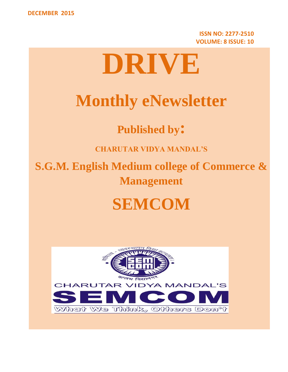**ISSN NO: 2277-2510 VOLUME: 8 ISSUE: 10**

# **DRIVE**

# **Monthly eNewsletter**

**Published by:**

**CHARUTAR VIDYA MANDAL'S**

**S.G.M. English Medium college of Commerce & Management**

# **SEMCOM**

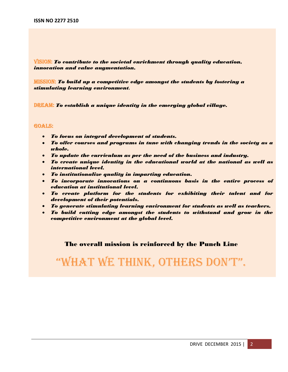VISION: *To contribute to the societal enrichment through quality education, innovation and value augmentation.*

MISSION: *To build up a competitive edge amongst the students by fostering a stimulating learning environment.*

DREAM: *To establish a unique identity in the emerging global village.*

#### GOALS:

- *To focus on integral development of students.*
- *To offer courses and programs in tune with changing trends in the society as a whole.*
- *To update the curriculum as per the need of the business and industry.*
- *To create unique identity in the educational world at the national as well as international level.*
- *To institutionalize quality in imparting education.*
- *To incorporate innovations on a continuous basis in the entire process of education at institutional level.*
- *To create platform for the students for exhibiting their talent and for development of their potentials.*
- *To generate stimulating learning environment for students as well as teachers.*
- *To build cutting edge amongst the students to withstand and grow in the competitive environment at the global level.*

### The overall mission is reinforced by the Punch Line

# "What We think, Others DOn't".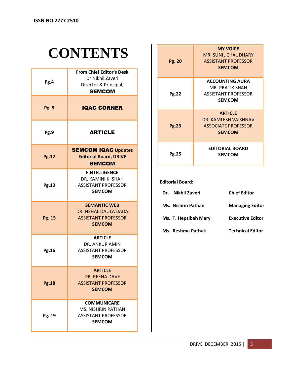# **CONTENTS**

| Pg.4         | <b>From Chief Editor's Desk</b><br>Dr Nikhil Zaveri<br>Director & Principal,<br><b>SEMCOM</b>  |
|--------------|------------------------------------------------------------------------------------------------|
| <b>Pg. 5</b> | <b>IQAC CORNER</b>                                                                             |
| Pg.9         | <b>ARTICLE</b>                                                                                 |
| <b>Pg.12</b> | <b>SEMCOM IQAC Updates</b><br><b>Editorial Board, DRIVE</b><br><b>SEMCOM</b>                   |
| Pg.13        | <b>FINTELLIGENCE</b><br>DR. KAMINI K. SHAH<br><b>ASSISTANT PROFESSOR</b><br><b>SEMCOM</b>      |
| Pg. 15       | <b>SEMANTIC WEB</b><br>DR. NEHAL DAULATJADA<br><b>ASSISTANT PROFESSOR</b><br><b>SEMCOM</b>     |
| Pg.16        | <b>ARTICLE</b><br>DR. ANKUR AMIN<br><b>ASSISTANT PROFESSOR</b><br>SEMCOM                       |
| <b>Pg.18</b> | <b>ARTICLE</b><br>DR. REENA DAVE<br><b>ASSISTANT PROFESSOR</b><br><b>SEMCOM</b>                |
| Pg. 19       | <b>COMMUNICARE</b><br><b>MS. NISHRIN PATHAN</b><br><b>ASSISTANT PROFESSOR</b><br><b>SEMCOM</b> |

| Pg. 20       | <b>MY VOICE</b><br>MR. SUNIL CHAUDHARY<br><b>ASSISTANT PROFESSOR</b><br><b>SEMCOM</b>    |
|--------------|------------------------------------------------------------------------------------------|
| <b>Pg.22</b> | <b>ACCOUNTING AURA</b><br>MR. PRATIK SHAH<br><b>ASSISTANT PROFESSOR</b><br><b>SEMCOM</b> |
| <b>Pg.23</b> | <b>ARTICLE</b><br>DR. KAMLESH VAISHNAV<br><b>ASSOCIATE PROFESSOR</b><br><b>SEMCOM</b>    |
| Pg.25        | <b>EDITORIAL BOARD</b><br><b>SEMCOM</b>                                                  |

#### **Editorial Board:**

| Nikhil Zaveri<br>Dr. | <b>Chief Editor</b>     |
|----------------------|-------------------------|
| Ms. Nishrin Pathan   | <b>Managing Editor</b>  |
| Ms. T. Hepzibah Mary | <b>Executive Editor</b> |
| Ms. Reshma Pathak    | <b>Technical Editor</b> |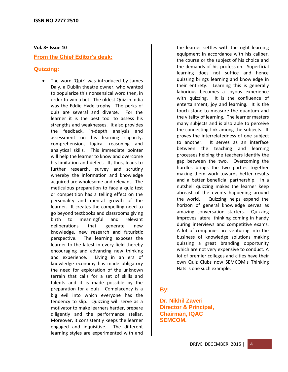#### **Vol. 8 Issue 10**

# **From the Chief Editor's desk:**

# **Quizzing:**

The word 'Quiz' was introduced by James Daly, a Dublin theatre owner, who wanted to popularize this nonsensical word then, in order to win a bet. The oldest Quiz in India was the Eddie Hyde trophy. The perks of quiz are several and diverse. For the learner it is the best tool to assess his strengths and weaknesses. It also provides the feedback, in-depth analysis and assessment on his learning capacity, comprehension, logical reasoning and analytical skills. This immediate pointer will help the learner to know and overcome his limitation and defect. It, thus, leads to further research, survey and scrutiny whereby the information and knowledge acquired are wholesome and relevant. The meticulous preparation to face a quiz test or competition has a telling effect on the personality and mental growth of the learner. It creates the compelling need to go beyond textbooks and classrooms giving birth to meaningful and relevant deliberations that generate new knowledge, new research and futuristic perspective. The learning exposes the learner to the latest in every field thereby encouraging and advancing new thinking and experience. Living in an era of knowledge economy has made obligatory the need for exploration of the unknown terrain that calls for a set of skills and talents and it is made possible by the preparation for a quiz. Complacency is a big evil into which everyone has the tendency to slip. Quizzing will serve as a motivator to make learners harder, prepare diligently and the performance stellar. Moreover, it consistently keeps the learner engaged and inquisitive. The different learning styles are experimented with and

the learner settles with the right learning equipment in accordance with his caliber, the course or the subject of his choice and the demands of his profession. Superficial learning does not suffice and hence quizzing brings learning and knowledge in their entirety. Learning this is generally laborious becomes a joyous experience with quizzing. It is the confluence of entertainment, joy and learning. It is the touch stone to measure the quantum and the vitality of learning. The learner masters many subjects and is also able to perceive the connecting link among the subjects. It proves the interrelatedness of one subject to another. It serves as an interface between the teaching and learning processes helping the teachers identify the gap between the two. Overcoming the hurdles brings the two parties together making them work towards better results and a better beneficial partnership. In a nutshell quizzing makes the learner keep abreast of the events happening around the world. Quizzing helps expand the horizon of general knowledge serves as amazing conversation starters. Quizzing improves lateral thinking coming in handy during interviews and competitive exams. A lot of companies are venturing into the business of knowledge solutions making quizzing a great branding opportunity which are not very expensive to conduct. A lot of premier colleges and cities have their own Quiz Clubs now SEMCOM's Thinking Hats is one such example.

# **By:**

**Dr. Nikhil Zaveri Director & Principal, Chairman, IQAC SEMCOM.**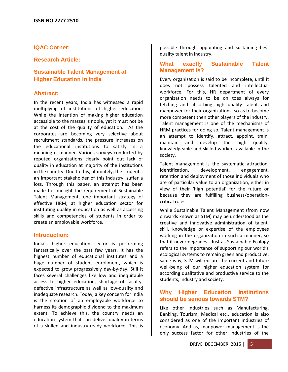# **IQAC Corner:**

# **Research Article:**

# **Sustainable Talent Management at Higher Education in India**

### **Abstract:**

In the recent years, India has witnessed a rapid multiplying of institutions of higher education. While the intention of making higher education accessible to the masses is noble, yet it must not be at the cost of the quality of education. As the corporates are becoming very selective about recruitment standards, the pressure increases on the educational institutions to satisfy in a meaningful manner. Various surveys conducted by reputed organizations clearly point out lack of quality in education at majority of the institutions in the country. Due to this, ultimately, the students, an important stakeholder of this industry, suffer a loss. Through this paper, an attempt has been made to limelight the requirement of Sustainable Talent Management, one important strategy of effective HRM, at higher education sector for instituting quality in education as well as accessing skills and competencies of students in order to create an employable workforce.

# **Introduction:**

India's higher education sector is performing fantastically over the past few years. It has the highest number of educational institutes and a huge number of student enrollment, which is expected to grow progressively day-by-day. Still it faces several challenges like low and inequitable access to higher education, shortage of faculty, defective infrastructure as well as low-quality and inadequate research. Today, a key concern for India is the creation of an employable workforce to harness its demographic dividend to the maximum extent. To achieve this, the country needs an education system that can deliver quality in terms of a skilled and industry-ready workforce. This is possible through appointing and sustaining best quality talent in industry.

# **What exactly Sustainable Talent Management is?**

Every organization is said to be incomplete, until it does not possess talented and intellectual workforce. For this, HR department of every organization needs to be on toes always for fetching and absorbing high quality talent and manpower for their organizations, so as to become more competent then other players of the industry. Talent management is one of the mechanisms of HRM practices for doing so. Talent management is an attempt to identify, attract, appoint, train, maintain and develop the high quality, knowledgeable and skilled workers available in the society.

Talent management is the systematic attraction, identification, development, engagement, retention and deployment of those individuals who are of particular value to an organization, either in view of their 'high potential' for the future or because they are fulfilling business/operationcritical roles.

While Sustainable Talent Management (from now onwards known as STM) may be understood as the creative and innovative administration of talent, skill, knowledge or expertise of the employees working in the organization in such a manner, so that it never degrades. Just as Sustainable Ecology refers to the importance of supporting our world's ecological systems to remain green and productive, same way, STM will ensure the current and future well-being of our higher education system for according qualitative and productive service to the students, industry and society.

# **Why Higher Education Institutions should be serious towards STM?**

Like other Industries such as Manufacturing, Banking, Tourism, Medical etc., education is also considered as one of the important industries of economy. And as, manpower management is the only success factor for other industries of the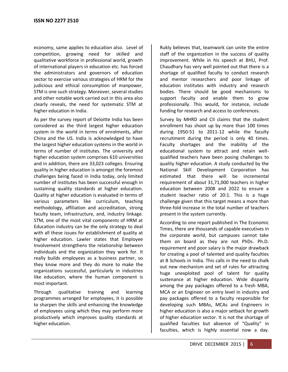economy, same applies to education also. Level of competition, growing need for skilled and qualitative workforce in professional world, growth of international players in education etc. has forced the administrators and governors of education sector to exercise various strategies of HRM for the judicious and ethical consumption of manpower, STM is one such strategy. Moreover, several studies and other notable work carried out in this area also clearly reveals, the need for systematic STM at higher education in India.

As per the survey report of Deloitte India has been considered as the third largest higher education system in the world in terms of enrolments, after China and the US. India is acknowledged to have the largest higher education systems in the world in terms of number of institutes. The university and higher education system comprises 610 universities and in addition, there are 33,023 colleges. Ensuring quality in higher education is amongst the foremost challenges being faced in India today, only limited number of institutes has been successful enough in sustaining quality standards at higher education. Quality at higher education is evaluated in terms of various parameters like curriculum, teaching methodology, affiliation and accreditation, strong faculty team, infrastructure, and, industry linkage. STM, one of the most vital components of HRM at Education industry can be the only strategy to deal with all these issues for establishment of quality at higher education. Lawler states that Employee Involvement strengthens the relationship between individuals and the organization they work for. It really builds employees as a business partner, so they know more and they do more to make the organizations successful, particularly in industries like education, where the human component is most important.

Through qualitative training and learning programmes arranged for employees, it is possible to sharpen the skills and enhancing the knowledge of employees using which they may perform more productively which improves quality standards at higher education.

Rukly believes that, teamwork can unite the entire staff of the organization in the success of quality improvement. While in his speech at BHU, Prof. Chaudhary has very well pointed out that there is a shortage of qualified faculty to conduct research and mentor researchers and poor linkage of education institutes with industry and research bodies. There should be good mechanisms to support faculty and enable them to grow professionally. This would, for instance, include funding for research and access to conferences.

Survey by MHRD and CII claims that the student enrollment has shoot up by more than 100 times during 1950-51 to 2011-12 while the faculty recruitment during the period is only 40 times. Faculty shortages and the inability of the educational system to attract and retain wellqualified teachers have been posing challenges to quality higher education. A study conducted by the National Skill Development Corporation has estimated that there will be incremental requirement of about 31,71,000 teachers in higher education between 2008 and 2022 to ensure a student teacher ratio of 20:1. This is a huge challenge given that this target means a more than three-fold increase in the total number of teachers present in the system currently.

According to one report published in The Economic Times, there are thousands of capable executives in the corporate world, but campuses cannot take them on board as they are not PhDs. Ph.D. requirement and poor salary is the major drawback for creating a pool of talented and quality faculties at B Schools in India. This calls in the need to chalk out new mechanism and set of rules for attracting huge unexploited pool of talent for quality sustenance at higher education. Wide disparity among the pay packages offered to a fresh MBA, MCA or an Engineer on entry level in industry and pay packages offered to a faculty responsible for developing such MBAs, MCAs and Engineers in higher education is also a major setback for growth of higher education sector. It is not the shortage of qualified faculties but absence of "Quality" in faculties, which is highly essential now a day.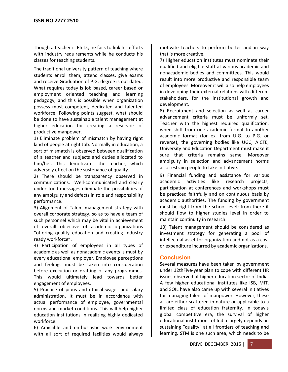Though a teacher is Ph.D., he fails to link his efforts with industry requirements while he conducts his classes for teaching students.

The traditional university pattern of teaching where students enroll them, attend classes, give exams and receive Graduation of P.G. degree is out dated. What requires today is job based, career based or employment oriented teaching and learning pedagogy, and this is possible when organization possess most competent, dedicated and talented workforce. Following points suggest, what should be done to have sustainable talent management at higher education for creating a reservoir of productive manpower.

1) Eliminate problem of mismatch by having right kind of people at right Job. Normally in education, a sort of mismatch is observed between qualification of a teacher and subjects and duties allocated to him/her. This demotivates the teacher, which adversely effect on the sustenance of quality.

2) There should be transparency observed in communications. Well-communicated and clearly understood messages eliminate the possibilities of any ambiguity and defects in role and responsibility performance.

3) Alignment of Talent management strategy with overall corporate strategy, so as to have a team of such personnel which may be vital in achievement of overall objective of academic organizations "offering quality education and creating industry ready workforce".

4) Participation of employees in all types of academic as well as nonacademic events is must by every educational employer. Employee perceptions and feelings must be taken into consideration before execution or drafting of any programmes. This would ultimately lead towards better engagement of employees.

5) Practice of pious and ethical wages and salary administration. It must be in accordance with actual performance of employee, governmental norms and market conditions. This will help higher education institutions in realizing highly dedicated workforce.

6) Amicable and enthusiastic work environment with all sort of required facilities would always motivate teachers to perform better and in way that is more creative.

7) Higher education institutes must nominate their qualified and eligible staff at various academic and nonacademic bodies and committees. This would result into more productive and responsible team of employees. Moreover it will also help employees in developing their external relations with different stakeholders, for the institutional growth and development.

8) Recruitment and selection as well as career advancement criteria must be uniformly set. Teacher with the highest required qualification, when shift from one academic format to another academic format (for ex. from U.G. to P.G. or reverse), the governing bodies like UGC, AICTE, University and Education Department must make it sure that criteria remains same. Moreover ambiguity in selection and advancement norms also restrain people to take initiative.

9) Financial funding and assistance for various academic activities like research projects, participation at conferences and workshops must be practiced faithfully and on continuous basis by academic authorities. The funding by government must be right from the school level; from there it should flow to higher studies level in order to maintain continuity in research.

10) Talent management should be considered as investment strategy for generating a pool of intellectual asset for organization and not as a cost or expenditure incurred by academic organizations.

# **Conclusion**

Several measures have been taken by government under 12thFive-year plan to cope with different HR issues observed at higher education sector of India. A few higher educational institutes like ISB, MIT, and SOIL have also came up with several initiatives for managing talent of manpower. However, these all are either scattered in nature or applicable to a limited class of education fraternity. In today's global competitive era, the survival of higher educational institutions of India largely depends on sustaining "quality" at all frontiers of teaching and learning. STM is one such area, which needs to be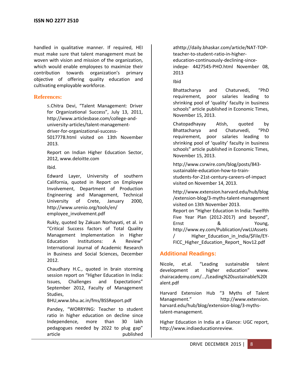handled in qualitative manner. If required, HEI must make sure that talent management must be woven with vision and mission of the organization, which would enable employees to maximize their contribution towards organization's primary objective of offering quality education and cultivating employable workforce.

# **References:**

S.Chitra Devi, "Talent Management: Driver for Organizational Success", July 13, 2011, http://www.articlesbase.com/college-anduniversity-articles/talent-managementdriver-for-organizational-success-5017778.html visited on 13th November 2013.

Report on Indian Higher Education Sector, 2012, www.deloitte.com

Ibid.

Edward Layer, University of southern California, quoted in Report on Employee Involvement, Department of Production Engineering and Management, Technical University of Crete, January 2000, http://www.urenio.org/tools/en/ employee\_involvement.pdf

Rukly, quoted by Zakuan Norhayati, et al. in "Critical Success factors of Total Quality Management Implementation in Higher Education Institutions: A Review" International Journal of Academic Research in Business and Social Sciences, December 2012.

Chaudhary H.C., quoted in brain storming session report on "Higher Education In India: Issues, Challenges and Expectations" September 2012, Faculty of Management Studies,

BHU,www.bhu.ac.in/fms/BSSReport.pdf

Pandey, "WORRYING: Teacher to student ratio in higher education on decline since Independence, more than 30 lakh pedagogues needed by 2022 to plug gap" article published athttp://daily.bhaskar.com/article/NAT-TOPteacher-to-student-ratio-in-highereducation-continuously-declining-sinceindepe- 4427545-PHO.html November 08, 2013

Ibid

Bhattacharya and Chaturvedi, "PhD requirement, poor salaries leading to shrinking pool of 'quality' faculty in business schools" article published in Economic Times, November 15, 2013.

Chatopadhayay Atish, quoted by Bhattacharya and Chaturvedi, "PhD requirement, poor salaries leading to shrinking pool of 'quality' faculty in business schools" article published in Economic Times, November 15, 2013.

http://www.csrwire.com/blog/posts/843 sustainable-education-how-to-trainstudents-for-21st-century-careers-of-impact visited on November 14, 2013.

http://www.extension.harvard.edu/hub/blog /extension-blog/3-myths-talent-management visited on 13th November 2013. Report on "Higher Education In India: Twelfth Five Year Plan (2012-2017) and beyond", Ernst & Young, http://www.ey.com/Publication/vwLUAssets / Higher Education in India/\$File/EY-FICC\_Higher\_Education\_Report\_ Nov12.pdf

# **Additional Readings:**

Nicole, et.al. "Leading sustainable talent development at higher education" www. chairacademy.com/.../Leading%20sustainable%20t alent.pdf

Harvard Extension Hub "3 Myths of Talent Management." http://www.extension. harvard.edu/hub/blog/extension-blog/3-mythstalent-management.

Higher Education in India at a Glance: UGC report, http://www.indiaeducationreview.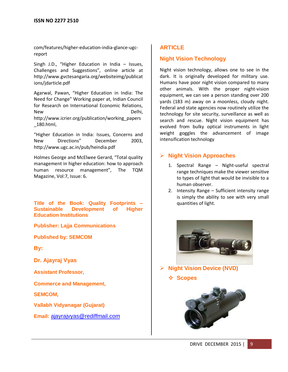com/features/higher-education-india-glance-ugcreport

Singh J.D., "Higher Education in India – Issues, Challenges and Suggestions", online article at http://www.gvctesangaria.org/websiteimg/publicat ions/jdarticle.pdf

Agarwal, Pawan, "Higher Education in India: The Need for Change" Working paper at, Indian Council for Research on International Economic Relations, New Delhi, http://www.icrier.org/publication/working\_papers \_180.html,

"Higher Education in India: Issues, Concerns and New Directions" December 2003, http://www.ugc.ac.in/pub/heindia.pdf

Holmes George and McElwee Gerard, "Total quality management in higher education: how to approach human resource management", The TQM Magazine, Vol:7, Issue: 6.

**Title of the Book: Quality Footprints – Sustainable Development of Higher Education Institutions**

**Publisher: Lajja Communications**

**Published by: SEMCOM**

**By:**

**Dr. Ajayraj Vyas**

**Assistant Professor,** 

**Commerce and Management,** 

**SEMCOM,** 

**Vallabh Vidyanagar (Gujarat)** 

**Email:** [ajayrajvyas@rediffmail.com](mailto:ajayrajvyas@rediffmail.com)

# **ARTICLE**

# **Night Vision Technology**

Night vision technology, allows one to see in the dark. It is originally developed for military use. Humans have poor night vision compared to many other animals. With the proper night-vision equipment, we can see a person standing over 200 yards (183 m) away on a moonless, cloudy night. Federal and state agencies now routinely utilize the technology for site security, surveillance as well as search and rescue. Night vision equipment has evolved from bulky optical instruments in light weight goggles the advancement of image intensification technology

# **Night Vision Approaches**

- 1. Spectral Range Night-useful spectral range techniques make the viewer sensitive to types of light that would be invisible to a human observer.
- 2. Intensity Range Sufficient intensity range is simply the ability to see with very small quantities of light.



- **Night Vision Device (NVD)**
	- **Scopes**

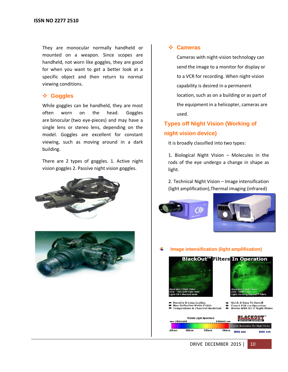They are monocular normally handheld or mounted on a weapon. Since scopes are handheld, not worn like goggles, they are good for when you want to get a better look at a specific object and then return to normal viewing conditions.

# **Goggles**

While goggles can be handheld, they are most often worn on the head. Goggles are binocular (two eye-pieces) and may have a single lens or stereo lens, depending on the model. Goggles are excellent for constant viewing, such as moving around in a dark building.

There are 2 types of goggles. 1. Active night vision goggles 2. Passive night vision goggles.





## **Cameras**

Cameras with night-vision technology can send the image to a monitor for display or to a VCR for recording. When night-vision capability is desired in a permanent location, such as on a building or as part of the equipment in a helicopter, cameras are used.

# **Types off Night Vision (Working of night vision device)**

It is broadly classified into two types:

1. Biological Night Vision – Molecules in the rods of the eye undergo a change in shape as light.

2. Technical Night Vision – Image intensification (light amplification),Thermal imaging (infrared)





**Image intensification (light amplification)**





Quick & Easy To Install<br>Covert 850 nm Operation<br>Works With All Iª Night Vision Durable & Long Lasting<br>Non-Reflective Matte Finish<br>Temperature & Chemical Resistant  $\bullet$ 

| Visible Light Spectrum |                   |       |                        | <b>ACKOUT</b><br><b>Infrared Spectrum</b> |                                                                                                                                                                                                                                      |
|------------------------|-------------------|-------|------------------------|-------------------------------------------|--------------------------------------------------------------------------------------------------------------------------------------------------------------------------------------------------------------------------------------|
| - Ultraviolet          |                   |       | Infrared $\rightarrow$ | Covert Illumination For Night Vision      |                                                                                                                                                                                                                                      |
| 100nm                  | 500 <sub>nm</sub> | 600nm | 700nm                  |                                           | <b>COMPANY - 2006 - 2006 - 2006 - 2006 - 2006 - 2006 - 2006 - 2006 - 2006 - 2006 - 2006 - 2006 - 2006 - 2006 - 2006 - 2006 - 2006 - 2006 - 2006 - 2006 - 2006 - 2006 - 2006 - 2006 - 2006 - 2006 - 2006 - 2006 - 2006 - 2006 - 2</b> |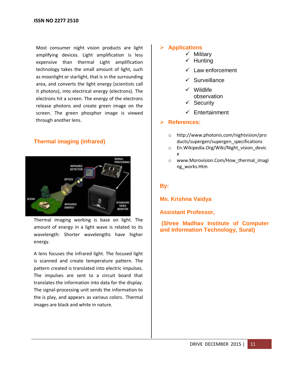Most consumer night vision products are light amplifying devices. Light amplification is less expensive than thermal Light amplification technology takes the small amount of light, such as moonlight or starlight, that is in the surrounding area, and converts the light energy (scientists call it photons), into electrical energy (electrons). The electrons hit a screen. The energy of the electrons release photons and create green image on the screen. The green phosphor image is viewed through another lens.

# **Thermal imaging (infrared)**



Thermal imaging working is base on light. The amount of energy in a light wave is related to its wavelength: Shorter wavelengths have higher energy.

A lens focuses the infrared light. The focused light is scanned and create temperature pattern. The pattern created is translated into electric impulses. The impulses are sent to a circuit board that translates the information into data for the display. The signal-processing unit sends the information to the is play, and appears as various colors. Thermal images are black and white in nature.

# **Applications**

- $\checkmark$  Military
- $\checkmark$  Hunting
- $\checkmark$  Law enforcement
- $\checkmark$  Surveillance
- $\checkmark$  Wildlife observation
- $\checkmark$  Security
- $\checkmark$  Entertainment

# **References:**

- o [http://www.photonis.com/nightvision/pro](http://www.photonis.com/nightvision/products/supergen/superge) [ducts/supergen/supergen](http://www.photonis.com/nightvision/products/supergen/superge)\_specifications
- o En.Wikipedia.Org/Wiki/Night\_vision\_devic e
- o www.Morovision.Com/How\_thermal\_imagi ng\_works.Htm

# **By:**

**Ms. Krishna Vaidya**

**Assistant Professor,**

**(Shree Madhav Institute of Computer and Information Technology, Surat)**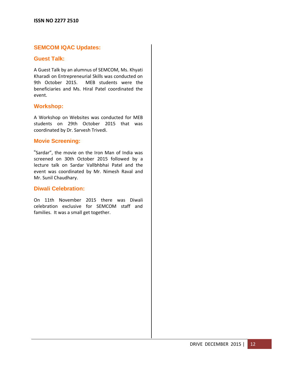# **SEMCOM IQAC Updates:**

#### **Guest Talk:**

A Guest Talk by an alumnus of SEMCOM, Ms. Khyati Kharadi on Entrepreneurial Skills was conducted on 9th October 2015. MEB students were the beneficiaries and Ms. Hiral Patel coordinated the event.

#### **Workshop:**

A Workshop on Websites was conducted for MEB students on 29th October 2015 that was coordinated by Dr. Sarvesh Trivedi.

### **Movie Screening:**

"Sardar", the movie on the Iron Man of India was screened on 30th October 2015 followed by a lecture talk on Sardar Vallbhbhai Patel and the event was coordinated by Mr. Nimesh Raval and Mr. Sunil Chaudhary.

### **Diwali Celebration:**

On 11th November 2015 there was Diwali celebration exclusive for SEMCOM staff and families. It was a small get together.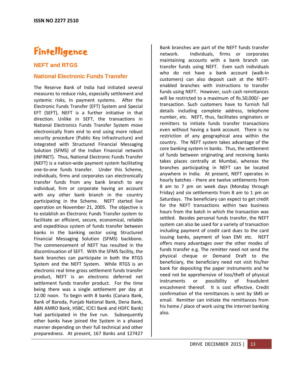# **Fintelligence**

# **NEFT and RTGS**

# **National Electronic Funds Transfer**

The Reserve Bank of India had initiated several measures to reduce risks, especially settlement and systemic risks, in payment systems. After the Electronic Funds Transfer (EFT) System and Special EFT (SEFT), NEFT is a further initiative in that direction. Unlike in SEFT, the transactions in National Electronics Funds Transfer System move electronically from end to end using more robust security procedure (Public Key Infrastructure) and integrated with Structured Financial Messaging Solution (SFMS) of the Indian Financial network (INFINET). Thus, National Electronic Funds Transfer (NEFT) is a nation-wide payment system facilitating one-to-one funds transfer. Under this Scheme, individuals, firms and corporates can electronically transfer funds from any bank branch to any individual, firm or corporate having an account with any other bank branch in the country participating in the Scheme. NEFT started live operation on November 21, 2005. The objective is to establish an Electronic Funds Transfer system to facilitate an efficient, secure, economical, reliable and expeditious system of funds transfer between banks in the banking sector using Structured Financial Messaging Solution (SFMS) backbone. The commencement of NEFT has resulted in the discontinuation of SEFT. With the SFMS facility, the bank branches can participate in both the RTGS System and the NEFT System. While RTGS is an electronic real time gross settlement funds transfer product, NEFT is an electronic deferred net settlement funds transfer product. For the time being there was a single settlement per day at 12.00 noon. To begin with 8 banks (Canara Bank, Bank of Baroda, Punjab National Bank, Dena Bank, ABN AMRO Bank, HSBC, ICICI Bank and HDFC Bank) had participated in the live run. Subsequently other banks have joined the System in a phased manner depending on their full technical and other preparedness. At present, 167 Banks and 127427

Bank branches are part of the NEFT funds transfer network. Individuals, firms or corporates maintaining accounts with a bank branch can transfer funds using NEFT. Even such individuals who do not have a bank account (walk-in customers) can also deposit cash at the NEFTenabled branches with instructions to transfer funds using NEFT. However, such cash remittances will be restricted to a maximum of Rs.50,000/- per transaction. Such customers have to furnish full details including complete address, telephone number, etc. NEFT, thus, facilitates originators or remitters to initiate funds transfer transactions even without having a bank account. There is no restriction of any geographical area within the country. The NEFT system takes advantage of the core banking system in banks. Thus, the settlement of funds between originating and receiving banks takes places centrally at Mumbai, whereas the branches participating in NEFT can be located anywhere in India. At present, NEFT operates in hourly batches - there are twelve settlements from 8 am to 7 pm on week days (Monday through Friday) and six settlements from 8 am to 1 pm on Saturdays. The beneficiary can expect to get credit for the NEFT transactions within two business hours from the batch in which the transaction was settled. Besides personal funds transfer, the NEFT system can also be used for a variety of transaction including payment of credit card dues to the card issuing banks, payment of loan EMI etc. NEFT offers many advantages over the other modes of funds transfer e.g. The remitter need not send the physical cheque or Demand Draft to the beneficiary, the beneficiary need not visit his/her bank for depositing the paper instruments and he need not be apprehensive of loss/theft of physical instruments or possibility of fraudulent encashment thereof. It is cost effective. Credit confirmation of the remittances is sent by SMS or email. Remitter can initiate the remittances from his home / place of work using the internet banking also.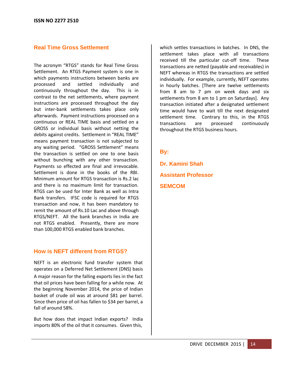# **Real Time Gross Settlement**

The acronym "RTGS" stands for Real Time Gross Settlement. An RTGS Payment system is one in which payments instructions between banks are processed and settled individually and continuously throughout the day. This is in contrast to the net settlements, where payment instructions are processed throughout the day but inter-bank settlements takes place only afterwards. Payment instructions processed on a continuous or REAL TIME basis and settled on a GROSS or individual basis without netting the debits against credits. Settlement in "REAL TIME" means payment transaction is not subjected to any waiting period. "GROSS Settlement" means the transaction is settled on one to one basis without bunching with any other transaction. Payments so effected are final and irrevocable. Settlement is done in the books of the RBI. Minimum amount for RTGS transaction is Rs.2 lac and there is no maximum limit for transaction. RTGS can be used for Inter Bank as well as Intra Bank transfers. IFSC code is required for RTGS transaction and now, it has been mandatory to remit the amount of Rs.10 Lac and above through RTGS/NEFT. All the bank branches in India are not RTGS enabled. Presently, there are more than 100,000 RTGS enabled bank branches.

# **How is NEFT different from RTGS?**

NEFT is an electronic fund transfer system that operates on a Deferred Net Settlement (DNS) basis A major reason for the falling exports lies in the fact that oil prices have been falling for a while now. At the beginning November 2014, the price of Indian basket of crude oil was at around \$81 per barrel. Since then price of oil has fallen to \$34 per barrel, a fall of around 58%.

But how does that impact Indian exports? India imports 80% of the oil that it consumes. Given this,

which settles transactions in batches. In DNS, the settlement takes place with all transactions received till the particular cut-off time. These transactions are netted (payable and receivables) in NEFT whereas in RTGS the transactions are settled individually. For example, currently, NEFT operates in hourly batches. [There are twelve settlements from 8 am to 7 pm on week days and six settlements from 8 am to 1 pm on Saturdays]. Any transaction initiated after a designated settlement time would have to wait till the next designated settlement time. Contrary to this, in the RTGS transactions are processed continuously throughout the RTGS business hours.

# **By:**

**Dr. Kamini Shah Assistant Professor SEMCOM**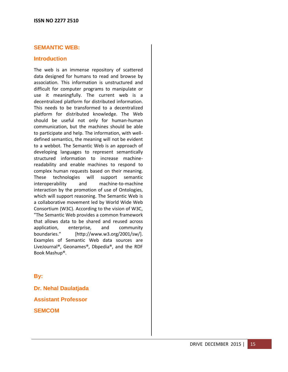# **SEMANTIC WEB:**

#### **Introduction**

The web is an immense repository of scattered data designed for humans to read and browse by association. This information is unstructured and difficult for computer programs to manipulate or use it meaningfully. The current web is a decentralized platform for distributed information. This needs to be transformed to a decentralized platform for distributed knowledge. The Web should be useful not only for human-human communication, but the machines should be able to participate and help. The information, with welldefined semantics, the meaning will not be evident to a webbot. The Semantic Web is an approach of developing languages to represent semantically structured information to increase machinereadability and enable machines to respond to complex human requests based on their meaning. These technologies will support semantic interoperability and machine-to-machine interaction by the promotion of use of Ontologies, which will support reasoning. The Semantic Web is a collaborative movement led by World Wide Web Consortium (W3C). According to the vision of W3C, "The Semantic Web provides a common framework that allows data to be shared and reused across application, enterprise, and community boundaries." [http://www.w3.org/2001/sw/]. Examples of Semantic Web data sources are LiveJournal®, Geonames®, Dbpedia®, and the RDF Book Mashup®.

**By:**

**Dr. Nehal Daulatjada Assistant Professor SEMCOM**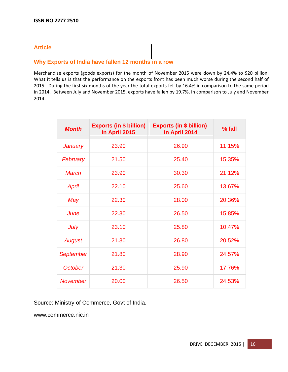# **Article**

# **Why Exports of India have fallen 12 months in a row**

Merchandise exports (goods exports) for the month of November 2015 were down by 24.4% to \$20 billion. What it tells us is that the performance on the exports front has been much worse during the second half of 2015. During the first six months of the year the total exports fell by 16.4% in comparison to the same period in 2014. Between July and November 2015, exports have fallen by 19.7%, in comparison to July and November 2014.

| <b>Month</b>     | <b>Exports (in \$ billion)</b><br>in April 2015 | <b>Exports (in \$ billion)</b><br>in April 2014 | $%$ fall |
|------------------|-------------------------------------------------|-------------------------------------------------|----------|
| <b>January</b>   | 23.90                                           | 26.90                                           | 11.15%   |
| February         | 21.50                                           | 25.40                                           | 15.35%   |
| <b>March</b>     | 23.90                                           | 30.30                                           | 21.12%   |
| April            | 22.10                                           | 25.60                                           | 13.67%   |
| May              | 22.30                                           | 28.00                                           | 20.36%   |
| June             | 22.30                                           | 26.50                                           | 15.85%   |
| July             | 23.10                                           | 25.80                                           | 10.47%   |
| <b>August</b>    | 21.30                                           | 26.80                                           | 20.52%   |
| <b>September</b> | 21.80                                           | 28.90                                           | 24.57%   |
| <b>October</b>   | 21.30                                           | 25.90                                           | 17.76%   |
| <b>November</b>  | 20.00                                           | 26.50                                           | 24.53%   |

Source: Ministry of Commerce, Govt of India.

www.commerce.nic.in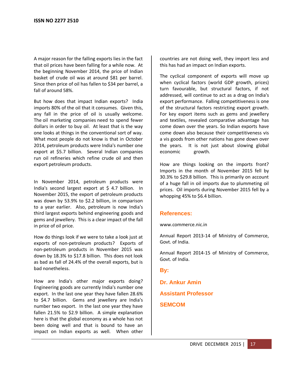A major reason for the falling exports lies in the fact that oil prices have been falling for a while now. At the beginning November 2014, the price of Indian basket of crude oil was at around \$81 per barrel. Since then price of oil has fallen to \$34 per barrel, a fall of around 58%.

But how does that impact Indian exports? India imports 80% of the oil that it consumes. Given this, any fall in the price of oil is usually welcome. The oil marketing companies need to spend fewer dollars in order to buy oil. At least that is the way one looks at things in the conventional sort of way. What most people do not know is that in October 2014, petroleum products were India's number one export at \$5.7 billion. Several Indian companies run oil refineries which refine crude oil and then export petroleum products.

In November 2014, petroleum products were India's second largest export at \$ 4.7 billion. In November 2015, the export of petroleum products was down by 53.9% to \$2.2 billion, in comparison to a year earlier. Also, petroleum is now India's third largest exports behind engineering goods and gems and jewellery. This is a clear impact of the fall in price of oil price.

How do things look if we were to take a look just at exports of non-petroleum products? Exports of non-petroleum products in November 2015 was down by 18.3% to \$17.8 billion. This does not look as bad as fall of 24.4% of the overall exports, but is bad nonetheless.

How are India's other major exports doing? Engineering goods are currently India's number one export. In the last one year they have fallen 28.6% to \$4.7 billion. Gems and jewellery are India's number two export. In the last one year they have fallen 21.5% to \$2.9 billion. A simple explanation here is that the global economy as a whole has not been doing well and that is bound to have an impact on Indian exports as well. When other

countries are not doing well, they import less and this has had an impact on Indian exports.

The cyclical component of exports will move up when cyclical factors (world GDP growth, prices) turn favourable, but structural factors, if not addressed, will continue to act as a drag on India's export performance. Falling competitiveness is one of the structural factors restricting export growth. For key export items such as gems and jewellery and textiles, revealed comparative advantage has come down over the years. So Indian exports have come down also because their competitiveness vis a vis goods from other nations has gone down over the years. It is not just about slowing global economic growth.

How are things looking on the imports front? Imports in the month of November 2015 fell by 30.3% to \$29.8 billion. This is primarily on account of a huge fall in oil imports due to plummeting oil prices. Oil imports during November 2015 fell by a whopping 45% to \$6.4 billion.

# **References:**

[www.commerce.nic.in](http://www.commerce.nic.in/)

Annual Report 2013-14 of Ministry of Commerce, Govt. of India.

Annual Report 2014-15 of Ministry of Commerce, Govt. of India.

**By:**

**Dr. Ankur Amin Assistant Professor SEMCOM**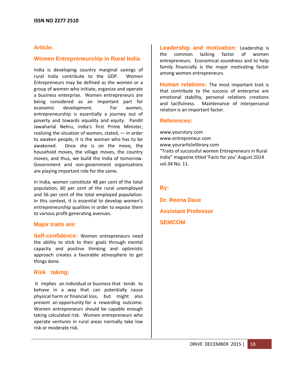# **Article:**

#### **Women Entrepreneurship in Rural India**

India is developing country marginal savings of rural India contribute to the GDP. Women Entrepreneurs may be defined as the women or a group of women who initiate, organize and operate a business enterprise. Women entrepreneurs are being considered as an important part for economic development. For women, entrepreneurship is essentially a journey out of poverty and towards equality and equity. Pandit Jawaharlal Nehru, India's first Prime Minister, realizing the situation of women, stated,  $-$  in order to awaken people, it is the woman who has to be awakened. Once she is on the move, the household moves, the village moves, the country moves, and thus, we build the India of tomorrow. Government and non-government organizations are playing important role for the same.

In India, women constitute 48 per cent of the total population, 60 per cent of the rural unemployed and 56 per cent of the total employed population. In this context, it is essential to develop women's entrepreneurship qualities in order to expose them to various profit generating avenues.

#### **Major traits are:**

**Self-confidence:** Women entrepreneurs need the ability to stick to their goals through mental capacity and positive thinking and optimistic approach creates a favorable atmosphere to get things done.

#### **Risk taking**:

It implies an individual or business that tends to behave in a way that can potentially cause physical harm or financial loss, but might also present an opportunity for a rewarding outcome. Women entrepreneurs should be capable enough taking calculated risk. Women entrepreneurs who operate ventures in rural areas normally take low risk or moderate risk.

**Leadership and motivation:** Leadership is the common lacking factor of women entrepreneurs. Economical soundness and to help family financially is the major motivating factor among women entrepreneurs.

**Human relations:** The most important trait is that contribute to the success of enterprise are emotional stability, personal relations creations and tactfulness. Maintenance of interpersonal relation is an important factor.

#### **References:**

www.yourstory.com [www.entrepreneur.com](http://www.entrepreneur.com/) www.yourarticlelibrary.com "Traits of successful women Entrepreneurs in Rural India" magazine titled 'Facts for you' August 2014 vol.34 No. 11.

**By:**

**Dr. Reena Dave Assistant Professor SEMCOM**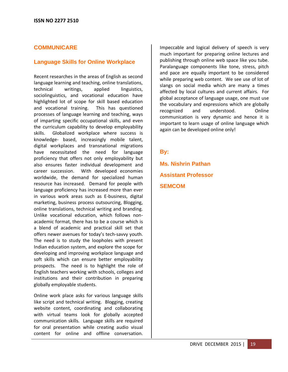# **COMMUNICARE**

# **Language Skills for Online Workplace**

Recent researches in the areas of English as second language learning and teaching, online translations, technical writings, applied linguistics, sociolinguistics, and vocational education have highlighted lot of scope for skill based education and vocational training. This has questioned processes of language learning and teaching, ways of imparting specific occupational skills, and even the curriculum capability to develop employability skills. Globalized workplace where success is knowledge- based, increasingly mobile talent, digital workplaces and transnational migrations have necessitated the need for language proficiency that offers not only employability but also ensures faster individual development and career succession. With developed economies worldwide, the demand for specialized human resource has increased. Demand for people with language proficiency has increased more than ever in various work areas such as E-business, digital marketing, business process outsourcing, Blogging, online translations, technical writing and branding. Unlike vocational education, which follows nonacademic format, there has to be a course which is a blend of academic and practical skill set that offers newer avenues for today's tech-savvy youth. The need is to study the loopholes with present Indian education system, and explore the scope for developing and improving workplace language and soft skills which can ensure better employability prospects. The need is to highlight the role of English teachers working with schools, colleges and institutions and their contribution in preparing globally employable students.

Online work place asks for various language skills like script and technical writing. Blogging, creating website content, coordinating and collaborating with virtual teams look for globally accepted communication skills. Language skills are required for oral presentation while creating audio visual content for online and offline conversation.

Impeccable and logical delivery of speech is very much important for preparing online lectures and publishing through online web space like you tube. Paralanguage components like tone, stress, pitch and pace are equally important to be considered while preparing web content. We see use of lot of slangs on social media which are many a times affected by local cultures and current affairs. For global acceptance of language usage, one must use the vocabulary and expressions which are globally recognized and understood. Online communication is very dynamic and hence it is important to learn usage of online language which again can be developed online only!

# **By:**

**Ms. Nishrin Pathan Assistant Professor SEMCOM**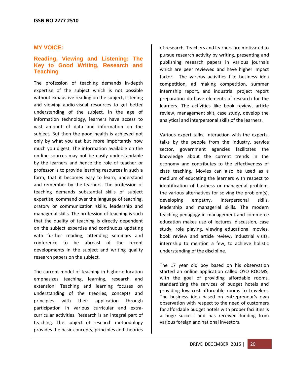### **MY VOICE:**

# **Reading, Viewing and Listening: The Key to Good Writing, Research and Teaching**

The profession of teaching demands in-depth expertise of the subject which is not possible without exhaustive reading on the subject, listening and viewing audio-visual resources to get better understanding of the subject. In the age of information technology, learners have access to vast amount of data and information on the subject. But then the good health is achieved not only by what you eat but more importantly how much you digest. The information available on the on-line sources may not be easily understandable by the learners and hence the role of teacher or professor is to provide learning resources in such a form, that it becomes easy to learn, understand and remember by the learners. The profession of teaching demands substantial skills of subject expertise, command over the language of teaching, oratory or communication skills, leadership and managerial skills. The profession of teaching is such that the quality of teaching is directly dependent on the subject expertise and continuous updating with further reading, attending seminars and conference to be abreast of the recent developments in the subject and writing quality research papers on the subject.

The current model of teaching in higher education emphasizes teaching, learning, research and extension. Teaching and learning focuses on understanding of the theories, concepts and principles with their application through participation in various curricular and extracurricular activities. Research is an integral part of teaching. The subject of research methodology provides the basic concepts, principles and theories

of research. Teachers and learners are motivated to pursue research activity by writing, presenting and publishing research papers in various journals which are peer reviewed and have higher impact factor. The various activities like business idea competition, ad making competition, summer internship report, and industrial project report preparation do have elements of research for the learners. The activities like book review, article review, management skit, case study, develop the analytical and interpersonal skills of the learners.

Various expert talks, interaction with the experts, talks by the people from the industry, service sector, government agencies facilitates the knowledge about the current trends in the economy and contributes to the effectiveness of class teaching. Movies can also be used as a medium of educating the learners with respect to identification of business or managerial problem, the various alternatives for solving the problem(s), developing empathy, interpersonal skills, leadership and managerial skills. The modern teaching pedagogy in management and commerce education makes use of lectures, discussion, case study, role playing, viewing educational movies, book review and article review, industrial visits, internship to mention a few, to achieve holistic understanding of the discipline.

The 17 year old boy based on his observation started an online application called OYO ROOMS, with the goal of providing affordable rooms, standardizing the services of budget hotels and providing low cost affordable rooms to travelers. The business idea based on entrepreneur's own observation with respect to the need of customers for affordable budget hotels with proper facilities is a huge success and has received funding from various foreign and national investors.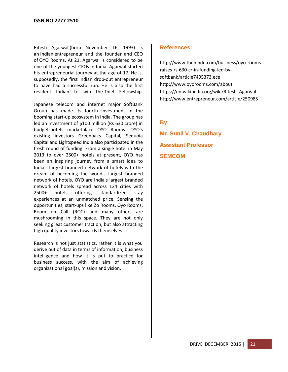Ritesh Agarwal (born November 16, 1993) is an [Indian](https://en.wikipedia.org/wiki/India) entrepreneur and the founder and CEO of [OYO Rooms.](https://en.wikipedia.org/wiki/OYO_Rooms) At 21, Agarwal is considered to be one of the youngest CEOs in India. Agarwal started his entrepreneurial journey at the age of 17. He is, supposedly, the first Indian drop-out entrepreneur to have had a successful run. He is also the first resident Indian to win the [Thiel Fellowship.](https://en.wikipedia.org/wiki/Thiel_Fellowship)

Japanese telecom and internet major SoftBank Group has made its fourth investment in the booming start-up ecosystem in India. The group has led an investment of \$100 million (Rs 630 crore) in budget-hotels marketplace OYO Rooms. OYO's existing investors Greenoaks Capital, Sequoia Capital and Lightspeed India also participated in the fresh round of funding. From a single hotel in May 2013 to over 2500+ hotels at present, OYO has been an inspiring journey from a smart idea to India's largest branded network of hotels with the dream of becoming the world's largest branded network of hotels. OYO are India's largest branded network of hotels spread across 124 cities with 2500+ hotels offering standardized stay experiences at an unmatched price. Sensing the opportunities, start-ups like Zo Rooms, Oyo Rooms, Room on Call (ROC) and many others are mushrooming in this space. They are not only seeking great customer traction, but also attracting high quality investors towards themselves.

Research is not just statistics, rather it is what you derive out of data in terms of information, business intelligence and how it is put to practice for business success, with the aim of achieving organizational goal(s), mission and vision.

# **References:**

[http://www.thehindu.com/business/oyo-rooms](http://www.thehindu.com/business/oyo-rooms-raises-rs-630-cr-in-funding-led-by-softbank/article7495373.ece)[raises-rs-630-cr-in-funding-led-by](http://www.thehindu.com/business/oyo-rooms-raises-rs-630-cr-in-funding-led-by-softbank/article7495373.ece)[softbank/article7495373.ece](http://www.thehindu.com/business/oyo-rooms-raises-rs-630-cr-in-funding-led-by-softbank/article7495373.ece) <http://www.oyorooms.com/about> [https://en.wikipedia.org/wiki/Ritesh\\_Agarwal](https://en.wikipedia.org/wiki/Ritesh_Agarwal) <http://www.entrepreneur.com/article/250985>

# **By:**

**Mr. Sunil V. Chaudhary Assistant Professor SEMCOM**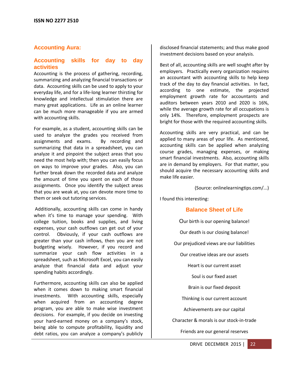# **Accounting Aura:**

# **Accounting skills for day to day activities**

Accounting is the process of gathering, recording, summarizing and analyzing financial transactions or data. Accounting skills can be used to apply to your everyday life, and for a life-long learner thirsting for knowledge and intellectual stimulation there are many great applications. Life as an online learner can be much more manageable if you are armed with accounting skills.

For example, as a student, accounting skills can be used to analyze the grades you received from assignments and exams. By recording and summarizing that data in a spreadsheet, you can analyze it and pinpoint the subject areas that you need the most help with; then you can easily focus on ways to improve your grades. Also, you can further break down the recorded data and analyze the amount of time you spent on each of those assignments. Once you identify the subject areas that you are weak at, you can devote more time to them or seek out tutoring services.

Additionally, accounting skills can come in handy when it's time to manage your spending. With college tuition, books and supplies, and living expenses, your cash outflows can get out of your control. Obviously, if your cash outflows are greater than your cash inflows, then you are not budgeting wisely. However, if you record and summarize your cash flow activities in a spreadsheet, such as Microsoft Excel, you can easily analyze that financial data and adjust your spending habits accordingly.

Furthermore, accounting skills can also be applied when it comes down to making smart financial investments. With accounting skills, especially when acquired from an accounting degree program, you are able to make wise investment decisions. For example, if you decide on investing your hard-earned money on a company's stock, being able to compute profitability, liquidity and debt ratios, you can analyze a company's publicly

disclosed financial statements; and thus make good investment decisions based on your analysis.

Best of all, accounting skills are well sought after by employers. Practically every organization requires an accountant with accounting skills to help keep track of the day to day financial activities. In fact, according to one estimate, the projected employment growth rate for accountants and auditors between years 2010 and 2020 is 16%, while the average growth rate for all occupations is only 14%. Therefore, employment prospects are bright for those with the required accounting skills.

Accounting skills are very practical, and can be applied to many areas of your life. As mentioned, accounting skills can be applied when analyzing course grades, managing expenses, or making smart financial investments. Also, accounting skills are in demand by employers. For that matter, you should acquire the necessary accounting skills and make life easier.

(Source: onlinelearningtips.com/...)

I found this interesting:

# **Balance Sheet of Life**

Our birth is our opening balance!

Our death is our closing balance!

Our prejudiced views are our liabilities

Our creative ideas are our assets

Heart is our current asset

Soul is our fixed asset

Brain is our fixed deposit

Thinking is our current account

Achievements are our capital

Character & morals is our stock-in-trade

Friends are our general reserves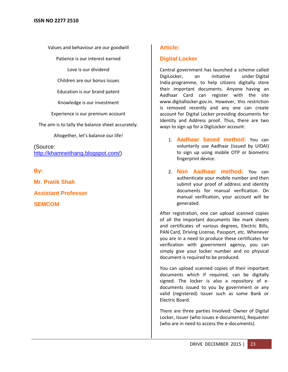Values and behaviour are our goodwill

Patience is our interest earned

Love is our dividend

Children are our bonus issues

Education is our brand patent

Knowledge is our investment

Experience is our premium account

The aim is to tally the balance sheet accurately.

Altogether, let's balance our life!

(Source: [http://khamneithang.blogspot.com/\)](http://khamneithang.blogspot.com/)

**By:**

**Mr. Pratik Shah Assistant Professor SEMCOM**

# **Article:**

# **Digital Locker**

Central government has launched a scheme called DigiLocker, an initiative under Digital India programme, to help citizens digitally store their important documents. Anyone having an Aadhaar Card can register with the site [www.digitallocker.gov.in.](http://www.digitallocker.gov.in/) However, this restriction is removed recently and any one can create account for Digital Locker providing documents for Identity and Address proof. Thus, there are two ways to sign up for a DigiLocker account:

- 1. **Aadhaar based method:** You can voluntarily use Aadhaar (issued by UIDAI) to sign up using mobile OTP or biometric fingerprint device.
- 2. **Non Aadhaar method:** You can authenticate your mobile number and then submit your proof of address and identity documents for manual verification. On manual verification, your account will be generated.

After registration, one can upload scanned copies of all the important documents like mark sheets and certificates of various degrees, Electric Bills, PAN Card, Driving License, Passport, etc. Whenever you are in a need to produce these certificates for verification with government agency, you can simply give your locker number and no physical document is required to be produced.

You can upload scanned copies of their important documents which if required, can be digitally signed. The locker is also a repository of edocuments issued to you by government or any valid (registered) Issuer such as some Bank or Electric Board.

There are three parties Involved: Owner of Digital Locker, Issuer (who issues e-documents), Requester (who are in need to access the e-documents).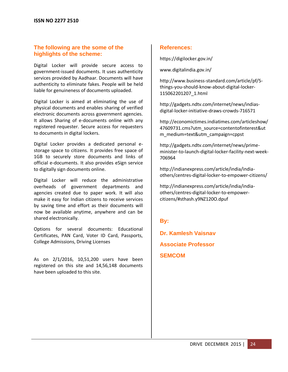# **The following are the some of the highlights of the scheme:**

Digital Locker will provide secure access to government-issued documents. It uses authenticity services provided by Aadhaar. Documents will have authenticity to eliminate fakes. People will be held liable for genuineness of documents uploaded.

Digital Locker is aimed at eliminating the use of physical documents and enables sharing of verified electronic documents across government agencies. It allows Sharing of e-documents online with any registered requester. Secure access for requesters to documents in digital lockers.

Digital Locker provides a dedicated personal estorage space to citizens. It provides free space of 1GB to securely store documents and links of official e-documents. It also provides eSign service to digitally sign documents online.

Digital Locker will reduce the administrative overheads of government departments and agencies created due to paper work. It will also make it easy for Indian citizens to receive services by saving time and effort as their documents will now be available anytime, anywhere and can be shared electronically.

Options for several documents: Educational Certificates, PAN Card, Voter ID Card, Passports, College Admissions, Driving Licenses

As on 2/1/2016, 10,51,200 users have been registered on this site and 14,56,148 documents have been uploaded to this site.

# **References:**

<https://digilocker.gov.in/>

[www.digitalindia.gov.in/](http://www.digitalindia.gov.in/)

[http://www.business-standard.com/article/pf/5](http://www.business-standard.com/article/pf/5-things-you-should-know-about-digital-locker-115062201207_1.html) [things-you-should-know-about-digital-locker-](http://www.business-standard.com/article/pf/5-things-you-should-know-about-digital-locker-115062201207_1.html)[115062201207\\_1.html](http://www.business-standard.com/article/pf/5-things-you-should-know-about-digital-locker-115062201207_1.html)

[http://gadgets.ndtv.com/internet/news/indias](http://gadgets.ndtv.com/internet/news/indias-digital-locker-initiative-draws-crowds-716571)[digital-locker-initiative-draws-crowds-716571](http://gadgets.ndtv.com/internet/news/indias-digital-locker-initiative-draws-crowds-716571)

[http://economictimes.indiatimes.com/articleshow/](http://economictimes.indiatimes.com/articleshow/47609731.cms?utm_source=contentofinterest&utm_medium=text&utm_campaign=cppst) [47609731.cms?utm\\_source=contentofinterest&ut](http://economictimes.indiatimes.com/articleshow/47609731.cms?utm_source=contentofinterest&utm_medium=text&utm_campaign=cppst) [m\\_medium=text&utm\\_campaign=cppst](http://economictimes.indiatimes.com/articleshow/47609731.cms?utm_source=contentofinterest&utm_medium=text&utm_campaign=cppst)

[http://gadgets.ndtv.com/internet/news/prime](http://gadgets.ndtv.com/internet/news/prime-minister-to-launch-digital-locker-facility-next-week-706964)[minister-to-launch-digital-locker-facility-next-week-](http://gadgets.ndtv.com/internet/news/prime-minister-to-launch-digital-locker-facility-next-week-706964)[706964](http://gadgets.ndtv.com/internet/news/prime-minister-to-launch-digital-locker-facility-next-week-706964)

[http://indianexpress.com/article/india/india](http://indianexpress.com/article/india/india-others/centres-digital-locker-to-empower-citizens/)[others/centres-digital-locker-to-empower-citizens/](http://indianexpress.com/article/india/india-others/centres-digital-locker-to-empower-citizens/)

[http://indianexpress.com/article/india/india](http://indianexpress.com/article/india/india-others/centres-digital-locker-to-empower-citizens/#sthash.y9NZ120O.dpuf)[others/centres-digital-locker-to-empower](http://indianexpress.com/article/india/india-others/centres-digital-locker-to-empower-citizens/#sthash.y9NZ120O.dpuf)[citizens/#sthash.y9NZ120O.dpuf](http://indianexpress.com/article/india/india-others/centres-digital-locker-to-empower-citizens/#sthash.y9NZ120O.dpuf)

# **By:**

**Dr. Kamlesh Vaisnav Associate Professor SEMCOM**